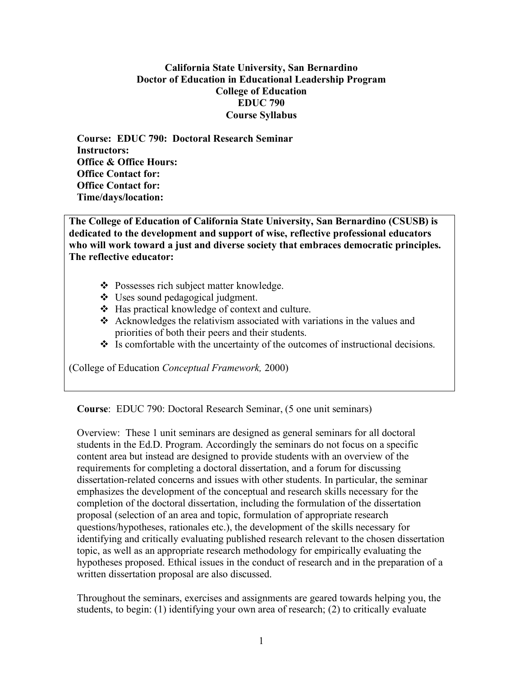## **California State University, San Bernardino Doctor of Education in Educational Leadership Program College of Education EDUC 790 Course Syllabus**

**Course: EDUC 790: Doctoral Research Seminar Instructors: Office & Office Hours: Office Contact for: Office Contact for: Time/days/location:**

**The College of Education of California State University, San Bernardino (CSUSB) is dedicated to the development and support of wise, reflective professional educators who will work toward a just and diverse society that embraces democratic principles. The reflective educator:**

- ❖ Possesses rich subject matter knowledge.
- Uses sound pedagogical judgment.
- Has practical knowledge of context and culture.
- Acknowledges the relativism associated with variations in the values and priorities of both their peers and their students.
- $\cdot$  Is comfortable with the uncertainty of the outcomes of instructional decisions.

(College of Education *Conceptual Framework,* 2000)

**Course**: EDUC 790: Doctoral Research Seminar, (5 one unit seminars)

Overview: These 1 unit seminars are designed as general seminars for all doctoral students in the Ed.D. Program. Accordingly the seminars do not focus on a specific content area but instead are designed to provide students with an overview of the requirements for completing a doctoral dissertation, and a forum for discussing dissertation-related concerns and issues with other students. In particular, the seminar emphasizes the development of the conceptual and research skills necessary for the completion of the doctoral dissertation, including the formulation of the dissertation proposal (selection of an area and topic, formulation of appropriate research questions/hypotheses, rationales etc.), the development of the skills necessary for identifying and critically evaluating published research relevant to the chosen dissertation topic, as well as an appropriate research methodology for empirically evaluating the hypotheses proposed. Ethical issues in the conduct of research and in the preparation of a written dissertation proposal are also discussed.

Throughout the seminars, exercises and assignments are geared towards helping you, the students, to begin: (1) identifying your own area of research; (2) to critically evaluate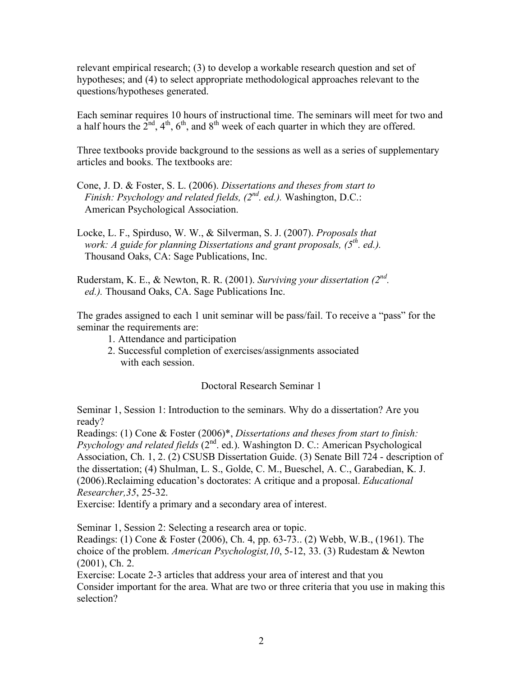relevant empirical research; (3) to develop a workable research question and set of hypotheses; and (4) to select appropriate methodological approaches relevant to the questions/hypotheses generated.

Each seminar requires 10 hours of instructional time. The seminars will meet for two and a half hours the  $2<sup>nd</sup>$ ,  $4<sup>th</sup>$ ,  $6<sup>th</sup>$ , and  $8<sup>th</sup>$  week of each quarter in which they are offered.

Three textbooks provide background to the sessions as well as a series of supplementary articles and books. The textbooks are:

Cone, J. D. & Foster, S. L. (2006). *Dissertations and theses from start to Finish: Psychology and related fields, (2nd . ed.).* Washington, D.C.: American Psychological Association.

Locke, L. F., Spirduso, W. W., & Silverman, S. J. (2007). *Proposals that work: A guide for planning Dissertations and grant proposals, (5th . ed.).* Thousand Oaks, CA: Sage Publications, Inc.

Ruderstam, K. E., & Newton, R. R. (2001). *Surviving your dissertation (2nd . ed.).* Thousand Oaks, CA. Sage Publications Inc.

The grades assigned to each 1 unit seminar will be pass/fail. To receive a "pass" for the seminar the requirements are:

- 1. Attendance and participation
- 2. Successful completion of exercises/assignments associated with each session.

Doctoral Research Seminar 1

Seminar 1, Session 1: Introduction to the seminars. Why do a dissertation? Are you ready?

Readings: (1) Cone & Foster (2006)\*, *Dissertations and theses from start to finish:* Psychology and related fields (2<sup>nd</sup>. ed.). Washington D. C.: American Psychological Association, Ch. 1, 2. (2) CSUSB Dissertation Guide. (3) Senate Bill 724 - description of the dissertation; (4) Shulman, L. S., Golde, C. M., Bueschel, A. C., Garabedian, K. J. (2006).Reclaiming education's doctorates: A critique and a proposal. *Educational Researcher,35*, 25-32.

Exercise: Identify a primary and a secondary area of interest.

Seminar 1, Session 2: Selecting a research area or topic.

Readings: (1) Cone & Foster (2006), Ch. 4, pp. 63-73.. (2) Webb, W.B., (1961). The choice of the problem. *American Psychologist,10*, 5-12, 33. (3) Rudestam & Newton (2001), Ch. 2.

Exercise: Locate 2-3 articles that address your area of interest and that you Consider important for the area. What are two or three criteria that you use in making this selection?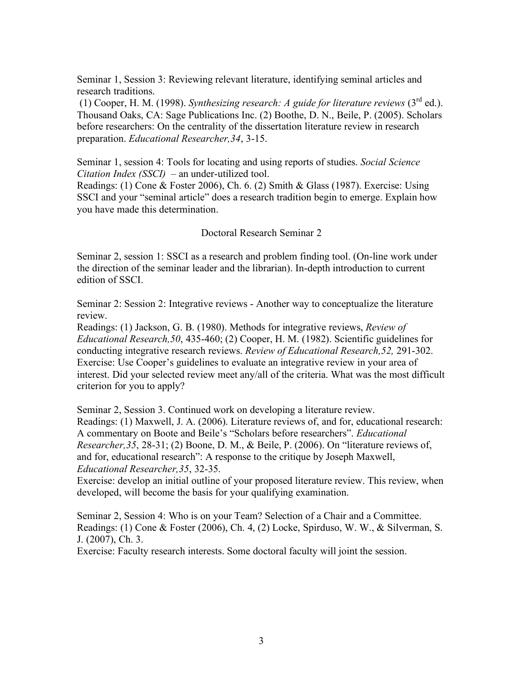Seminar 1, Session 3: Reviewing relevant literature, identifying seminal articles and research traditions.

(1) Cooper, H. M. (1998). *Synthesizing research: A guide for literature reviews*  $(3^{rd}$  ed.). Thousand Oaks, CA: Sage Publications Inc. (2) Boothe, D. N., Beile, P. (2005). Scholars before researchers: On the centrality of the dissertation literature review in research preparation. *Educational Researcher,34*, 3-15.

Seminar 1, session 4: Tools for locating and using reports of studies. *Social Science Citation Index (SSCI)* – an under-utilized tool.

Readings: (1) Cone & Foster 2006), Ch. 6. (2) Smith & Glass (1987). Exercise: Using SSCI and your "seminal article" does a research tradition begin to emerge. Explain how you have made this determination.

Doctoral Research Seminar 2

Seminar 2, session 1: SSCI as a research and problem finding tool. (On-line work under the direction of the seminar leader and the librarian). In-depth introduction to current edition of SSCI.

Seminar 2: Session 2: Integrative reviews - Another way to conceptualize the literature review.

Readings: (1) Jackson, G. B. (1980). Methods for integrative reviews, *Review of Educational Research,50*, 435-460; (2) Cooper, H. M. (1982). Scientific guidelines for conducting integrative research reviews. *Review of Educational Research,52,* 291-302. Exercise: Use Cooper's guidelines to evaluate an integrative review in your area of interest. Did your selected review meet any/all of the criteria. What was the most difficult criterion for you to apply?

Seminar 2, Session 3. Continued work on developing a literature review. Readings: (1) Maxwell, J. A. (2006). Literature reviews of, and for, educational research: A commentary on Boote and Beile's "Scholars before researchers". *Educational Researcher,35*, 28-31; (2) Boone, D. M., & Beile, P. (2006). On "literature reviews of, and for, educational research": A response to the critique by Joseph Maxwell, *Educational Researcher,35*, 32-35.

Exercise: develop an initial outline of your proposed literature review. This review, when developed, will become the basis for your qualifying examination.

Seminar 2, Session 4: Who is on your Team? Selection of a Chair and a Committee. Readings: (1) Cone & Foster (2006), Ch. 4, (2) Locke, Spirduso, W. W., & Silverman, S. J. (2007), Ch. 3.

Exercise: Faculty research interests. Some doctoral faculty will joint the session.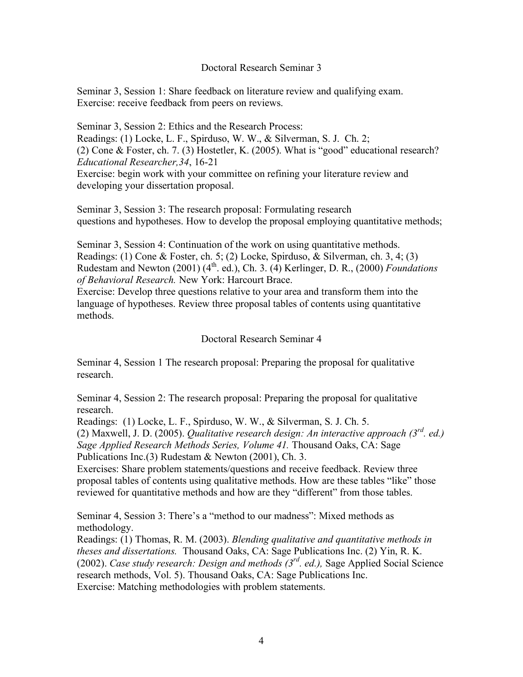## Doctoral Research Seminar 3

Seminar 3, Session 1: Share feedback on literature review and qualifying exam. Exercise: receive feedback from peers on reviews.

Seminar 3, Session 2: Ethics and the Research Process: Readings: (1) Locke, L. F., Spirduso, W. W., & Silverman, S. J. Ch. 2; (2) Cone & Foster, ch. 7. (3) Hostetler, K. (2005). What is "good" educational research? *Educational Researcher,34*, 16-21 Exercise: begin work with your committee on refining your literature review and developing your dissertation proposal.

Seminar 3, Session 3: The research proposal: Formulating research questions and hypotheses. How to develop the proposal employing quantitative methods;

Seminar 3, Session 4: Continuation of the work on using quantitative methods. Readings: (1) Cone & Foster, ch. 5; (2) Locke, Spirduso, & Silverman, ch. 3, 4; (3) Rudestam and Newton (2001) (4<sup>th</sup>. ed.), Ch. 3. (4) Kerlinger, D. R., (2000) *Foundations of Behavioral Research.* New York: Harcourt Brace.

Exercise: Develop three questions relative to your area and transform them into the language of hypotheses. Review three proposal tables of contents using quantitative methods.

## Doctoral Research Seminar 4

Seminar 4, Session 1 The research proposal: Preparing the proposal for qualitative research.

Seminar 4, Session 2: The research proposal: Preparing the proposal for qualitative research.

Readings: (1) Locke, L. F., Spirduso, W. W., & Silverman, S. J. Ch. 5. (2) Maxwell, J. D. (2005). *Qualitative research design: An interactive approach (3rd . ed.) Sage Applied Research Methods Series, Volume 41.* Thousand Oaks, CA: Sage Publications Inc.(3) Rudestam & Newton (2001), Ch. 3.

Exercises: Share problem statements/questions and receive feedback. Review three proposal tables of contents using qualitative methods. How are these tables "like" those reviewed for quantitative methods and how are they "different" from those tables.

Seminar 4, Session 3: There's a "method to our madness": Mixed methods as methodology.

Readings: (1) Thomas, R. M. (2003). *Blending qualitative and quantitative methods in theses and dissertations.* Thousand Oaks, CA: Sage Publications Inc. (2) Yin, R. K. (2002). *Case study research: Design and methods (3rd . ed.),* Sage Applied Social Science research methods, Vol. 5). Thousand Oaks, CA: Sage Publications Inc. Exercise: Matching methodologies with problem statements.